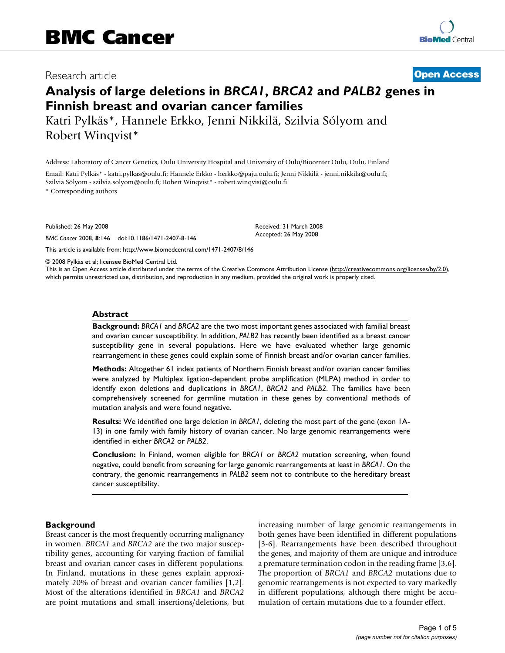## Research article **[Open Access](http://www.biomedcentral.com/info/about/charter/)**

# **Analysis of large deletions in** *BRCA1***,** *BRCA2* **and** *PALB2* **genes in Finnish breast and ovarian cancer families**

Katri Pylkäs\*, Hannele Erkko, Jenni Nikkilä, Szilvia Sólyom and Robert Winqvist\*

Address: Laboratory of Cancer Genetics, Oulu University Hospital and University of Oulu/Biocenter Oulu, Oulu, Finland

Email: Katri Pylkäs\* - katri.pylkas@oulu.fi; Hannele Erkko - herkko@paju.oulu.fi; Jenni Nikkilä - jenni.nikkila@oulu.fi; Szilvia Sólyom - szilvia.solyom@oulu.fi; Robert Winqvist\* - robert.winqvist@oulu.fi

\* Corresponding authors

Published: 26 May 2008

*BMC Cancer* 2008, **8**:146 doi:10.1186/1471-2407-8-146

[This article is available from: http://www.biomedcentral.com/1471-2407/8/146](http://www.biomedcentral.com/1471-2407/8/146)

© 2008 Pylkäs et al; licensee BioMed Central Ltd.

This is an Open Access article distributed under the terms of the Creative Commons Attribution License [\(http://creativecommons.org/licenses/by/2.0\)](http://creativecommons.org/licenses/by/2.0), which permits unrestricted use, distribution, and reproduction in any medium, provided the original work is properly cited.

Received: 31 March 2008 Accepted: 26 May 2008

#### **Abstract**

**Background:** *BRCA1* and *BRCA2* are the two most important genes associated with familial breast and ovarian cancer susceptibility. In addition, *PALB2* has recently been identified as a breast cancer susceptibility gene in several populations. Here we have evaluated whether large genomic rearrangement in these genes could explain some of Finnish breast and/or ovarian cancer families.

**Methods:** Altogether 61 index patients of Northern Finnish breast and/or ovarian cancer families were analyzed by Multiplex ligation-dependent probe amplification (MLPA) method in order to identify exon deletions and duplications in *BRCA1*, *BRCA2* and *PALB2*. The families have been comprehensively screened for germline mutation in these genes by conventional methods of mutation analysis and were found negative.

**Results:** We identified one large deletion in *BRCA1*, deleting the most part of the gene (exon 1A-13) in one family with family history of ovarian cancer. No large genomic rearrangements were identified in either *BRCA2* or *PALB2*.

**Conclusion:** In Finland, women eligible for *BRCA1* or *BRCA2* mutation screening, when found negative, could benefit from screening for large genomic rearrangements at least in *BRCA1*. On the contrary, the genomic rearrangements in *PALB2* seem not to contribute to the hereditary breast cancer susceptibility.

## **Background**

Breast cancer is the most frequently occurring malignancy in women. *BRCA1* and *BRCA2* are the two major susceptibility genes, accounting for varying fraction of familial breast and ovarian cancer cases in different populations. In Finland, mutations in these genes explain approximately 20% of breast and ovarian cancer families [1,2]. Most of the alterations identified in *BRCA1* and *BRCA2* are point mutations and small insertions/deletions, but increasing number of large genomic rearrangements in both genes have been identified in different populations [3-6]. Rearrangements have been described throughout the genes, and majority of them are unique and introduce a premature termination codon in the reading frame [3,6]. The proportion of *BRCA1* and *BRCA2* mutations due to genomic rearrangements is not expected to vary markedly in different populations, although there might be accumulation of certain mutations due to a founder effect.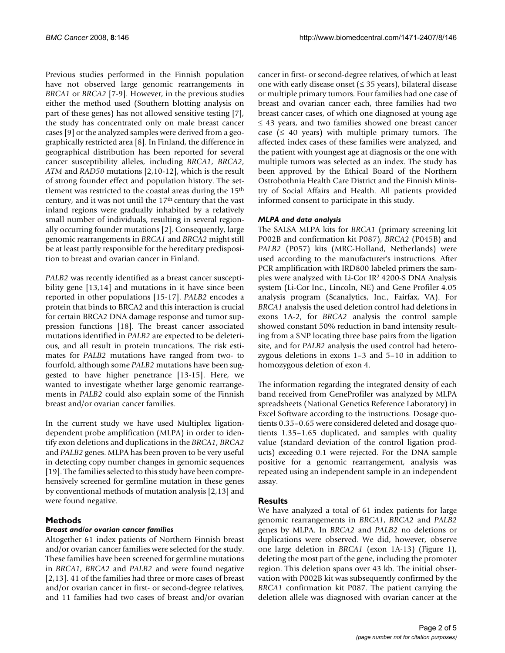Previous studies performed in the Finnish population have not observed large genomic rearrangements in *BRCA1* or *BRCA2* [7-9]. However, in the previous studies either the method used (Southern blotting analysis on part of these genes) has not allowed sensitive testing [7], the study has concentrated only on male breast cancer cases [9] or the analyzed samples were derived from a geographically restricted area [8]. In Finland, the difference in geographical distribution has been reported for several cancer susceptibility alleles, including *BRCA1*, *BRCA2*, *ATM* and *RAD50* mutations [2,10-12], which is the result of strong founder effect and population history. The settlement was restricted to the coastal areas during the 15th century, and it was not until the 17<sup>th</sup> century that the vast inland regions were gradually inhabited by a relatively small number of individuals, resulting in several regionally occurring founder mutations [2]. Consequently, large genomic rearrangements in *BRCA1* and *BRCA2* might still be at least partly responsible for the hereditary predisposition to breast and ovarian cancer in Finland.

*PALB2* was recently identified as a breast cancer susceptibility gene [13,14] and mutations in it have since been reported in other populations [15-17]. *PALB2* encodes a protein that binds to BRCA2 and this interaction is crucial for certain BRCA2 DNA damage response and tumor suppression functions [18]. The breast cancer associated mutations identified in *PALB2* are expected to be deleterious, and all result in protein truncations. The risk estimates for *PALB2* mutations have ranged from two- to fourfold, although some *PALB2* mutations have been suggested to have higher penetrance [13-15]. Here, we wanted to investigate whether large genomic rearrangements in *PALB2* could also explain some of the Finnish breast and/or ovarian cancer families.

In the current study we have used Multiplex ligationdependent probe amplification (MLPA) in order to identify exon deletions and duplications in the *BRCA1*, *BRCA2* and *PALB2* genes. MLPA has been proven to be very useful in detecting copy number changes in genomic sequences [19]. The families selected to this study have been comprehensively screened for germline mutation in these genes by conventional methods of mutation analysis [2,13] and were found negative.

## **Methods**

## *Breast and/or ovarian cancer families*

Altogether 61 index patients of Northern Finnish breast and/or ovarian cancer families were selected for the study. These families have been screened for germline mutations in *BRCA1*, *BRCA2* and *PALB2* and were found negative [2,13]. 41 of the families had three or more cases of breast and/or ovarian cancer in first- or second-degree relatives, and 11 families had two cases of breast and/or ovarian

cancer in first- or second-degree relatives, of which at least one with early disease onset ( $\leq$  35 years), bilateral disease or multiple primary tumors. Four families had one case of breast and ovarian cancer each, three families had two breast cancer cases, of which one diagnosed at young age ≤ 43 years, and two families showed one breast cancer case ( $\leq 40$  years) with multiple primary tumors. The affected index cases of these families were analyzed, and the patient with youngest age at diagnosis or the one with multiple tumors was selected as an index. The study has been approved by the Ethical Board of the Northern Ostrobothnia Health Care District and the Finnish Ministry of Social Affairs and Health. All patients provided informed consent to participate in this study.

## *MLPA and data analysis*

The SALSA MLPA kits for *BRCA1* (primary screening kit P002B and confirmation kit P087), *BRCA2* (P045B) and *PALB2* (P057) kits (MRC-Holland, Netherlands) were used according to the manufacturer's instructions. After PCR amplification with IRD800 labeled primers the samples were analyzed with Li-Cor IR2 4200-S DNA Analysis system (Li-Cor Inc., Lincoln, NE) and Gene Profiler 4.05 analysis program (Scanalytics, Inc., Fairfax, VA). For *BRCA1* analysis the used deletion control had deletions in exons 1A-2, for *BRCA2* analysis the control sample showed constant 50% reduction in band intensity resulting from a SNP locating three base pairs from the ligation site, and for *PALB2* analysis the used control had heterozygous deletions in exons 1–3 and 5–10 in addition to homozygous deletion of exon 4.

The information regarding the integrated density of each band received from GeneProfiler was analyzed by MLPA spreadsheets (National Genetics Reference Laboratory) in Excel Software according to the instructions. Dosage quotients 0.35–0.65 were considered deleted and dosage quotients 1.35–1.65 duplicated, and samples with quality value (standard deviation of the control ligation products) exceeding 0.1 were rejected. For the DNA sample positive for a genomic rearrangement, analysis was repeated using an independent sample in an independent assay.

## **Results**

We have analyzed a total of 61 index patients for large genomic rearrangements in *BRCA1*, *BRCA2* and *PALB2* genes by MLPA. In *BRCA2* and *PALB2* no deletions or duplications were observed. We did, however, observe one large deletion in *BRCA1* (exon 1A-13) (Figure 1), deleting the most part of the gene, including the promoter region. This deletion spans over 43 kb. The initial observation with P002B kit was subsequently confirmed by the *BRCA1* confirmation kit P087. The patient carrying the deletion allele was diagnosed with ovarian cancer at the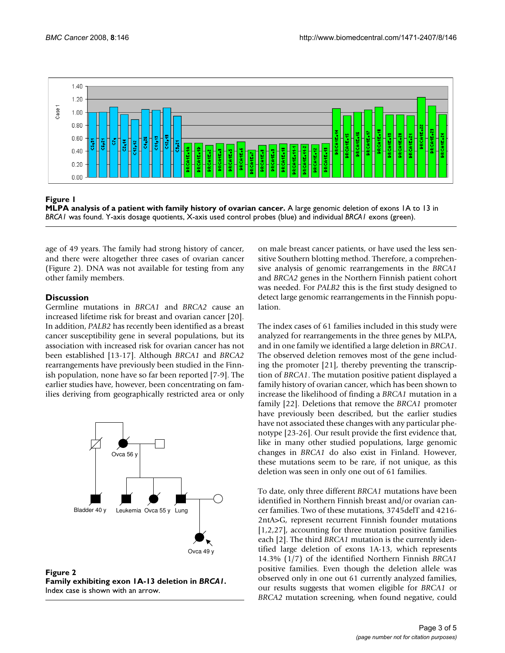

Figure 1

**MLPA analysis of a patient with family history of ovarian cancer.** A large genomic deletion of exons 1A to 13 in *BRCA1* was found. Y-axis dosage quotients, X-axis used control probes (blue) and individual *BRCA1* exons (green).

age of 49 years. The family had strong history of cancer, and there were altogether three cases of ovarian cancer (Figure 2). DNA was not available for testing from any other family members.

## **Discussion**

Germline mutations in *BRCA1* and *BRCA2* cause an increased lifetime risk for breast and ovarian cancer [20]. In addition, *PALB2* has recently been identified as a breast cancer susceptibility gene in several populations, but its association with increased risk for ovarian cancer has not been established [13-17]. Although *BRCA1* and *BRCA2* rearrangements have previously been studied in the Finnish population, none have so far been reported [7-9]. The earlier studies have, however, been concentrating on families deriving from geographically restricted area or only



**Figure 2 Family exhibiting exon 1A-13 deletion in** *BRCA1***.** Index case is shown with an arrow.

on male breast cancer patients, or have used the less sensitive Southern blotting method. Therefore, a comprehensive analysis of genomic rearrangements in the *BRCA1* and *BRCA2* genes in the Northern Finnish patient cohort was needed. For *PALB2* this is the first study designed to detect large genomic rearrangements in the Finnish population.

The index cases of 61 families included in this study were analyzed for rearrangements in the three genes by MLPA, and in one family we identified a large deletion in *BRCA1*. The observed deletion removes most of the gene including the promoter [21], thereby preventing the transcription of *BRCA1*. The mutation positive patient displayed a family history of ovarian cancer, which has been shown to increase the likelihood of finding a *BRCA1* mutation in a family [22]. Deletions that remove the *BRCA1* promoter have previously been described, but the earlier studies have not associated these changes with any particular phenotype [23-26]. Our result provide the first evidence that, like in many other studied populations, large genomic changes in *BRCA1* do also exist in Finland. However, these mutations seem to be rare, if not unique, as this deletion was seen in only one out of 61 families.

To date, only three different *BRCA1* mutations have been identified in Northern Finnish breast and/or ovarian cancer families. Two of these mutations, 3745delT and 4216- 2ntA>G, represent recurrent Finnish founder mutations [1,2,27], accounting for three mutation positive families each [2]. The third *BRCA1* mutation is the currently identified large deletion of exons 1A-13, which represents 14.3% (1/7) of the identified Northern Finnish *BRCA1* positive families. Even though the deletion allele was observed only in one out 61 currently analyzed families, our results suggests that women eligible for *BRCA1* or *BRCA2* mutation screening, when found negative, could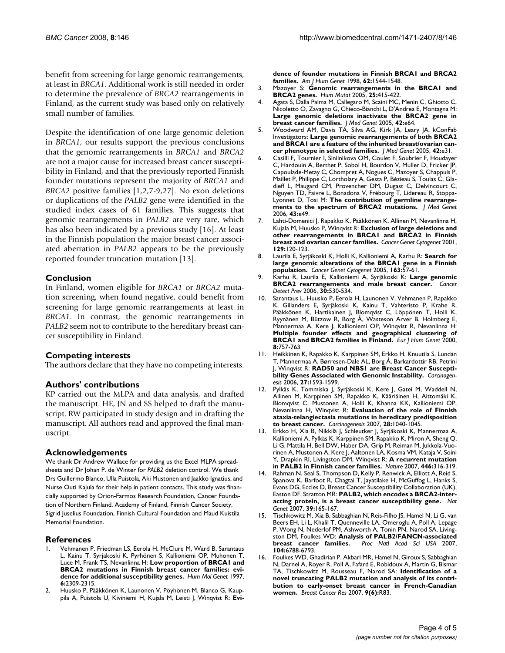benefit from screening for large genomic rearrangements, at least in *BRCA1*. Additional work is still needed in order to determine the prevalence of *BRCA2* rearrangements in Finland, as the current study was based only on relatively small number of families.

Despite the identification of one large genomic deletion in *BRCA1*, our results support the previous conclusions that the genomic rearrangements in *BRCA1* and *BRCA2* are not a major cause for increased breast cancer susceptibility in Finland, and that the previously reported Finnish founder mutations represent the majority of *BRCA1* and *BRCA2* positive families [1,2,7-9,27]. No exon deletions or duplications of the *PALB2* gene were identified in the studied index cases of 61 families. This suggests that genomic rearrangements in *PALB2* are very rare, which has also been indicated by a previous study [16]. At least in the Finnish population the major breast cancer associated aberration in *PALB2* appears to be the previously reported founder truncation mutation [13].

### **Conclusion**

In Finland, women eligible for *BRCA1* or *BRCA2* mutation screening, when found negative, could benefit from screening for large genomic rearrangements at least in *BRCA1*. In contrast, the genomic rearrangements in *PALB2* seem not to contribute to the hereditary breast cancer susceptibility in Finland.

#### **Competing interests**

The authors declare that they have no competing interests.

#### **Authors' contributions**

KP carried out the MLPA and data analysis, and drafted the manuscript. HE, JN and SS helped to draft the manuscript. RW participated in study design and in drafting the manuscript. All authors read and approved the final manuscript.

#### **Acknowledgements**

We thank Dr Andrew Wallace for providing us the Excel MLPA spreadsheets and Dr Johan P. de Winter for *PALB2* deletion control. We thank Drs Guillermo Blanco, Ulla Puistola, Aki Mustonen and Jaakko Ignatius, and Nurse Outi Kajula for their help in patient contacts. This study was financially supported by Orion-Farmos Research Foundation, Cancer Foundation of Northern Finland, Academy of Finland, Finnish Cancer Society, Sigrid Juselius Foundation, Finnish Cultural Foundation and Maud Kuistila Memorial Foundation.

#### **References**

- 1. Vehmanen P, Friedman LS, Eerola H, McClure M, Ward B, Sarantaus L, Kainu T, Syrjäkoski K, Pyrhönen S, Kallioniemi OP, Muhonen T, Luce M, Frank TS, Nevanlinna H: **[Low proportion of BRCA1 and](http://www.ncbi.nlm.nih.gov/entrez/query.fcgi?cmd=Retrieve&db=PubMed&dopt=Abstract&list_uids=9361038) [BRCA2 mutations in Finnish breast cancer families: evi](http://www.ncbi.nlm.nih.gov/entrez/query.fcgi?cmd=Retrieve&db=PubMed&dopt=Abstract&list_uids=9361038)[dence for additional susceptibility genes.](http://www.ncbi.nlm.nih.gov/entrez/query.fcgi?cmd=Retrieve&db=PubMed&dopt=Abstract&list_uids=9361038)** *Hum Mol Genet* 1997, **6:**2309-2315.
- 2. Huusko P, Pääkkönen K, Launonen V, Pöyhönen M, Blanco G, Kauppila A, Puistola U, Kiviniemi H, Kujala M, Leisti J, Winqvist R: **[Evi-](http://www.ncbi.nlm.nih.gov/entrez/query.fcgi?cmd=Retrieve&db=PubMed&dopt=Abstract&list_uids=9585608)**

**[dence of founder mutations in Finnish BRCA1 and BRCA2](http://www.ncbi.nlm.nih.gov/entrez/query.fcgi?cmd=Retrieve&db=PubMed&dopt=Abstract&list_uids=9585608) [families.](http://www.ncbi.nlm.nih.gov/entrez/query.fcgi?cmd=Retrieve&db=PubMed&dopt=Abstract&list_uids=9585608)** *Am J Hum Genet* 1998, **62:**1544-1548.

- 3. Mazoyer S: **[Genomic rearrangements in the BRCA1 and](http://www.ncbi.nlm.nih.gov/entrez/query.fcgi?cmd=Retrieve&db=PubMed&dopt=Abstract&list_uids=15832305) [BRCA2 genes.](http://www.ncbi.nlm.nih.gov/entrez/query.fcgi?cmd=Retrieve&db=PubMed&dopt=Abstract&list_uids=15832305)** *Hum Mutat* 2005, **25:**415-422.
- 4. Agata S, Dalla Palma M, Callegaro M, Scaini MC, Menin C, Ghiotto C, Nicoletto O, Zavagno G, Chieco-Bianchi L, D'Andrea E, Montagna M: **[Large genomic deletions inactivate the BRCA2 gene in](http://www.ncbi.nlm.nih.gov/entrez/query.fcgi?cmd=Retrieve&db=PubMed&dopt=Abstract&list_uids=16199546) [breast cancer families.](http://www.ncbi.nlm.nih.gov/entrez/query.fcgi?cmd=Retrieve&db=PubMed&dopt=Abstract&list_uids=16199546)** *J Med Genet* 2005, **42:**e64.
- 5. Woodward AM, Davis TA, Silva AG, Kirk JA, Leary JA, kConFab Investigators: **[Large genomic rearrangements of both BRCA2](http://www.ncbi.nlm.nih.gov/entrez/query.fcgi?cmd=Retrieve&db=PubMed&dopt=Abstract&list_uids=15863663) [and BRCA1 are a feature of the inherited breast/ovarian can](http://www.ncbi.nlm.nih.gov/entrez/query.fcgi?cmd=Retrieve&db=PubMed&dopt=Abstract&list_uids=15863663)[cer phenotype in selected families.](http://www.ncbi.nlm.nih.gov/entrez/query.fcgi?cmd=Retrieve&db=PubMed&dopt=Abstract&list_uids=15863663)** *J Med Genet* 2005, **42:**e31.
- 6. Casilli F, Tournier I, Sinilnikova OM, Coulet F, Soubrier F, Houdayer C, Hardouin A, Berthet P, Sobol H, Bourdon V, Muller D, Fricker JP, Capoulade-Metay C, Chompret A, Nogues C, Mazoyer S, Chappuis P, Maillet P, Philippe C, Lortholary A, Gesta P, Bézieau S, Toulas C, Gladieff L, Maugard CM, Provencher DM, Dugast C, Delvincourt C, Nguyen TD, Faivre L, Bonadona V, Frébourg T, Lidereau R, Stoppa-Lyonnet D, Tosi M: **[The contribution of germline rearrange](http://www.ncbi.nlm.nih.gov/entrez/query.fcgi?cmd=Retrieve&db=PubMed&dopt=Abstract&list_uids=16950820)[ments to the spectrum of BRCA2 mutations.](http://www.ncbi.nlm.nih.gov/entrez/query.fcgi?cmd=Retrieve&db=PubMed&dopt=Abstract&list_uids=16950820)** *J Med Genet* 2006, **43:**e49.
- 7. Lahti-Domenici J, Rapakko K, Pääkkönen K, Allinen M, Nevanlinna H, Kujala M, Huusko P, Winqvist R: **[Exclusion of large deletions and](http://www.ncbi.nlm.nih.gov/entrez/query.fcgi?cmd=Retrieve&db=PubMed&dopt=Abstract&list_uids=11566341) [other rearrangements in BRCA1 and BRCA2 in Finnish](http://www.ncbi.nlm.nih.gov/entrez/query.fcgi?cmd=Retrieve&db=PubMed&dopt=Abstract&list_uids=11566341) [breast and ovarian cancer families.](http://www.ncbi.nlm.nih.gov/entrez/query.fcgi?cmd=Retrieve&db=PubMed&dopt=Abstract&list_uids=11566341)** *Cancer Genet Cytogenet* 2001, **129:**120-123.
- 8. Laurila E, Syrjäkoski K, Holli K, Kallioniemi A, Karhu R: **[Search for](http://www.ncbi.nlm.nih.gov/entrez/query.fcgi?cmd=Retrieve&db=PubMed&dopt=Abstract&list_uids=16271956) [large genomic alterations of the BRCA1 gene in a Finnish](http://www.ncbi.nlm.nih.gov/entrez/query.fcgi?cmd=Retrieve&db=PubMed&dopt=Abstract&list_uids=16271956) [population.](http://www.ncbi.nlm.nih.gov/entrez/query.fcgi?cmd=Retrieve&db=PubMed&dopt=Abstract&list_uids=16271956)** *Cancer Genet Cytogenet* 2005, **163:**57-61.
- 9. Karhu R, Laurila E, Kallioniemi A, Syrjäkoski K: **[Large genomic](http://www.ncbi.nlm.nih.gov/entrez/query.fcgi?cmd=Retrieve&db=PubMed&dopt=Abstract&list_uids=17113724) [BRCA2 rearrangements and male breast cancer.](http://www.ncbi.nlm.nih.gov/entrez/query.fcgi?cmd=Retrieve&db=PubMed&dopt=Abstract&list_uids=17113724)** *Cancer Detect Prev* 2006, **30:**530-534.
- 10. Sarantaus L, Huusko P, Eerola H, Launonen V, Vehmanen P, Rapakko K, Gillanders E, Syrjäkoski K, Kainu T, Vahteristo P, Krahe R, Pääkkönen K, Hartikainen J, Blomqvist C, Löppönen T, Holli K, Ryynänen M, Bützow R, Borg Å, Wasteson Arver B, Holmberg E, Mannermaa A, Kere J, Kallioniemi OP, Winqvist R, Nevanlinna H: **[Multiple founder effects and geographical clustering of](http://www.ncbi.nlm.nih.gov/entrez/query.fcgi?cmd=Retrieve&db=PubMed&dopt=Abstract&list_uids=11039575) [BRCA1 and BRCA2 families in Finland.](http://www.ncbi.nlm.nih.gov/entrez/query.fcgi?cmd=Retrieve&db=PubMed&dopt=Abstract&list_uids=11039575)** *Eur J Hum Genet* 2000, **8:**757-763.
- 11. Heikkinen K, Rapakko K, Karppinen SM, Erkko H, Knuutila S, Lundán T, Mannermaa A, Børresen-Dale AL, Borg Å, Barkardottir RB, Petrini **Winqvist R: [RAD50 and NBS1 are Breast Cancer Suscepti](http://www.ncbi.nlm.nih.gov/entrez/query.fcgi?cmd=Retrieve&db=PubMed&dopt=Abstract&list_uids=16474176)[bility Genes Associated with Genomic Instability.](http://www.ncbi.nlm.nih.gov/entrez/query.fcgi?cmd=Retrieve&db=PubMed&dopt=Abstract&list_uids=16474176)** *Carcinogenesis* 2006, **27:**1593-1599.
- 12. Pylkäs K, Tommiska J, Syrjäkoski K, Kere J, Gatei M, Waddell N, Allinen M, Karppinen SM, Rapakko K, Kääriäinen H, Aittomäki K, Blomqvist C, Mustonen A, Holli K, Khanna KK, Kallioniemi OP, Nevanlinna H, Winqvist R: **[Evaluation of the role of Finnish](http://www.ncbi.nlm.nih.gov/entrez/query.fcgi?cmd=Retrieve&db=PubMed&dopt=Abstract&list_uids=17166884) [ataxia-telangiectasia mutations in hereditary predisposition](http://www.ncbi.nlm.nih.gov/entrez/query.fcgi?cmd=Retrieve&db=PubMed&dopt=Abstract&list_uids=17166884) [to breast cancer.](http://www.ncbi.nlm.nih.gov/entrez/query.fcgi?cmd=Retrieve&db=PubMed&dopt=Abstract&list_uids=17166884)** *Carcinogenesis* 2007, **28:**1040-1045.
- 13. Erkko H, Xia B, Nikkilä J, Schleutker J, Syrjäkoski K, Mannermaa A, Kallioniemi A, Pylkäs K, Karppinen SM, Rapakko K, Miron A, Sheng Q, Li G, Mattila H, Bell DW, Haber DA, Grip M, Reiman M, Jukkola-Vuorinen A, Mustonen A, Kere J, Aaltonen LA, Kosma VM, Kataja V, Soini Y, Drapkin RI, Livingston DM, Winqvist R: **[A recurrent mutation](http://www.ncbi.nlm.nih.gov/entrez/query.fcgi?cmd=Retrieve&db=PubMed&dopt=Abstract&list_uids=17287723) [in PALB2 in Finnish cancer families.](http://www.ncbi.nlm.nih.gov/entrez/query.fcgi?cmd=Retrieve&db=PubMed&dopt=Abstract&list_uids=17287723)** *Nature* 2007, **446:**316-319.
- Rahman N, Seal S, Thompson D, Kelly P, Renwick A, Elliott A, Reid S, Spanova K, Barfoot R, Chagtai T, Jayatilake H, McGuffog L, Hanks S, Evans DG, Eccles D, Breast Cancer Susceptibility Collaboration (UK), Easton DF, Stratton MR: **[PALB2, which encodes a BRCA2-inter](http://www.ncbi.nlm.nih.gov/entrez/query.fcgi?cmd=Retrieve&db=PubMed&dopt=Abstract&list_uids=17200668)[acting protein, is a breast cancer susceptibility gene.](http://www.ncbi.nlm.nih.gov/entrez/query.fcgi?cmd=Retrieve&db=PubMed&dopt=Abstract&list_uids=17200668)** *Nat Genet* 2007, **39:**165-167.
- 15. Tischkowitz M, Xia B, Sabbaghian N, Reis-Filho JS, Hamel N, Li G, van Beers EH, Li L, Khalil T, Quenneville LA, Omeroglu A, Poll A, Lepage P, Wong N, Nederlof PM, Ashworth A, Tonin PN, Narod SA, Livingston DM, Foulkes WD: **[Analysis of PALB2/FANCN-associated](http://www.ncbi.nlm.nih.gov/entrez/query.fcgi?cmd=Retrieve&db=PubMed&dopt=Abstract&list_uids=17420451) [breast cancer families.](http://www.ncbi.nlm.nih.gov/entrez/query.fcgi?cmd=Retrieve&db=PubMed&dopt=Abstract&list_uids=17420451)** *Proc Natl Acad Sci USA* 2007, **104:**6788-6793.
- 16. Foulkes WD, Ghadirian P, Akbari MR, Hamel N, Giroux S, Sabbaghian N, Darnel A, Royer R, Poll A, Fafard E, Robidoux A, Martin G, Bismar TA, Tischkowitz M, Rousseau F, Narod SA: **[Identification of a](http://www.ncbi.nlm.nih.gov/entrez/query.fcgi?cmd=Retrieve&db=PubMed&dopt=Abstract&list_uids=18053174) [novel truncating PALB2 mutation and analysis of its contri](http://www.ncbi.nlm.nih.gov/entrez/query.fcgi?cmd=Retrieve&db=PubMed&dopt=Abstract&list_uids=18053174)bution to early-onset breast cancer in French-Canadian [women.](http://www.ncbi.nlm.nih.gov/entrez/query.fcgi?cmd=Retrieve&db=PubMed&dopt=Abstract&list_uids=18053174)** *Breast Cancer Res* 2007, **9(6):**R83.